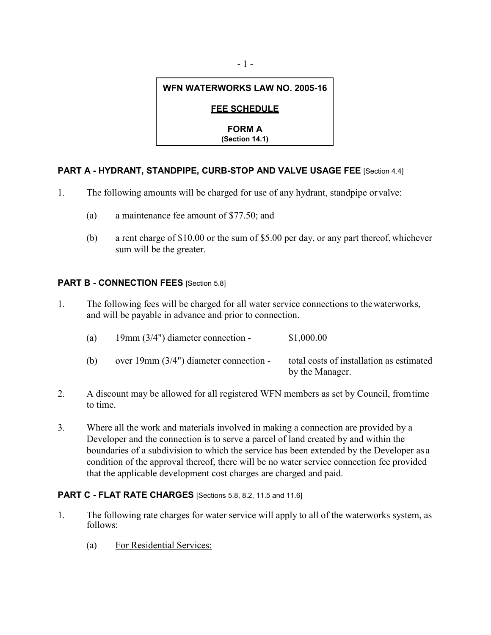# **WFN WATERWORKS LAW NO. 2005-16**

## **FEE SCHEDULE**

**FORM A**

**(Section 14.1)**

## **PART A - HYDRANT, STANDPIPE, CURB-STOP AND VALVE USAGE FEE** [Section 4.4]

- 1. The following amounts will be charged for use of any hydrant, standpipe orvalve:
	- (a) a maintenance fee amount of \$77.50; and
	- (b) a rent charge of \$10.00 or the sum of \$5.00 per day, or any part thereof,whichever sum will be the greater.

## **PART B - CONNECTION FEES** [Section 5.8]

1. The following fees will be charged for all water service connections to thewaterworks, and will be payable in advance and prior to connection.

| (a) | $19mm$ (3/4") diameter connection -        | \$1,000.00                                                  |
|-----|--------------------------------------------|-------------------------------------------------------------|
| (b) | over $19$ mm $(3/4)$ diameter connection - | total costs of installation as estimated<br>by the Manager. |

- 2. A discount may be allowed for all registered WFN members as set by Council, fromtime to time.
- 3. Where all the work and materials involved in making a connection are provided by a Developer and the connection is to serve a parcel of land created by and within the boundaries of a subdivision to which the service has been extended by the Developer as a condition of the approval thereof, there will be no water service connection fee provided that the applicable development cost charges are charged and paid.

### **PART C - FLAT RATE CHARGES** [Sections 5.8, 8.2, 11.5 and 11.6]

- 1. The following rate charges for water service will apply to all of the waterworks system, as follows:
	- (a) For Residential Services: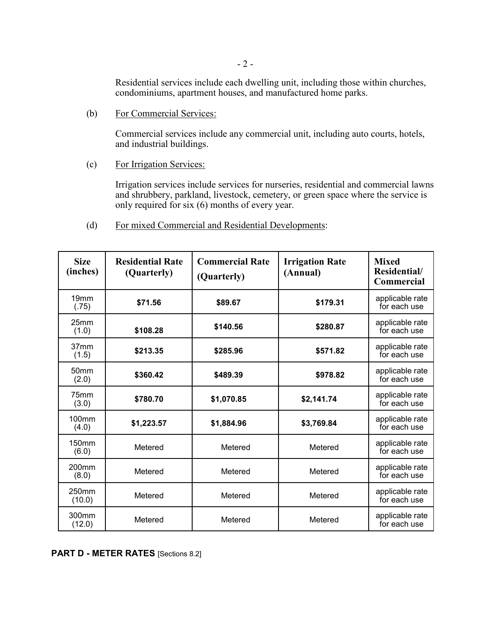Residential services include each dwelling unit, including those within churches, condominiums, apartment houses, and manufactured home parks.

(b) For Commercial Services:

Commercial services include any commercial unit, including auto courts, hotels, and industrial buildings.

(c) For Irrigation Services:

Irrigation services include services for nurseries, residential and commercial lawns and shrubbery, parkland, livestock, cemetery, or green space where the service is only required for six (6) months of every year.

(d) For mixed Commercial and Residential Developments:

| <b>Size</b><br>(inches)    | <b>Residential Rate</b><br>(Quarterly) | <b>Commercial Rate</b><br>(Quarterly) | <b>Irrigation Rate</b><br>(Annual) | <b>Mixed</b><br>Residential/<br><b>Commercial</b> |
|----------------------------|----------------------------------------|---------------------------------------|------------------------------------|---------------------------------------------------|
| 19 <sub>mm</sub><br>(.75)  | \$71.56                                | \$89.67                               | \$179.31                           | applicable rate<br>for each use                   |
| 25mm<br>(1.0)              | \$108.28                               | \$140.56                              | \$280.87                           | applicable rate<br>for each use                   |
| 37 <sub>mm</sub><br>(1.5)  | \$213.35                               | \$285.96                              | \$571.82                           | applicable rate<br>for each use                   |
| 50 <sub>mm</sub><br>(2.0)  | \$360.42                               | \$489.39                              | \$978.82                           | applicable rate<br>for each use                   |
| 75mm<br>(3.0)              | \$780.70                               | \$1,070.85                            | \$2,141.74                         | applicable rate<br>for each use                   |
| 100 <sub>mm</sub><br>(4.0) | \$1,223.57                             | \$1,884.96                            | \$3,769.84                         | applicable rate<br>for each use                   |
| 150 <sub>mm</sub><br>(6.0) | Metered                                | Metered                               | Metered                            | applicable rate<br>for each use                   |
| 200 <sub>mm</sub><br>(8.0) | Metered                                | Metered                               | Metered                            | applicable rate<br>for each use                   |
| 250mm<br>(10.0)            | Metered                                | Metered                               | Metered                            | applicable rate<br>for each use                   |
| 300mm<br>(12.0)            | Metered                                | Metered                               | Metered                            | applicable rate<br>for each use                   |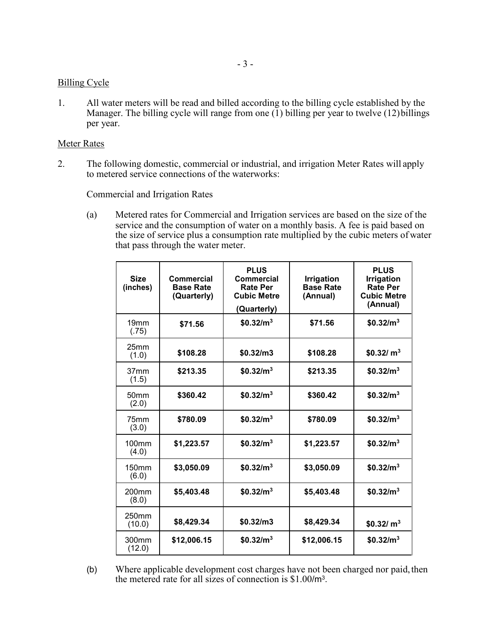#### Billing Cycle

1. All water meters will be read and billed according to the billing cycle established by the Manager. The billing cycle will range from one  $(1)$  billing per year to twelve  $(12)$  billings per year.

#### Meter Rates

2. The following domestic, commercial or industrial, and irrigation Meter Rates will apply to metered service connections of the waterworks:

Commercial and Irrigation Rates

(a) Metered rates for Commercial and Irrigation services are based on the size of the service and the consumption of water on a monthly basis. A fee is paid based on the size of service plus a consumption rate multiplied by the cubic meters of water that pass through the water meter.

| <b>Size</b><br>(inches)     | <b>Commercial</b><br><b>Base Rate</b><br>(Quarterly) | <b>PLUS</b><br><b>Commercial</b><br><b>Rate Per</b><br><b>Cubic Metre</b><br>(Quarterly) | <b>Irrigation</b><br><b>Base Rate</b><br>(Annual) | <b>PLUS</b><br><b>Irrigation</b><br><b>Rate Per</b><br><b>Cubic Metre</b><br>(Annual) |
|-----------------------------|------------------------------------------------------|------------------------------------------------------------------------------------------|---------------------------------------------------|---------------------------------------------------------------------------------------|
| 19 <sub>mm</sub><br>(.75)   | \$71.56                                              | \$0.32/m <sup>3</sup>                                                                    | \$71.56                                           | \$0.32/m <sup>3</sup>                                                                 |
| 25 <sub>mm</sub><br>(1.0)   | \$108.28                                             | \$0.32/m3                                                                                | \$108.28                                          | \$0.32/m <sup>3</sup>                                                                 |
| 37 <sub>mm</sub><br>(1.5)   | \$213.35                                             | \$0.32/m <sup>3</sup>                                                                    | \$213.35                                          | \$0.32/m <sup>3</sup>                                                                 |
| 50 <sub>mm</sub><br>(2.0)   | \$360.42                                             | \$0.32/m <sup>3</sup>                                                                    | \$360.42                                          | \$0.32/m <sup>3</sup>                                                                 |
| 75mm<br>(3.0)               | \$780.09                                             | \$0.32/m <sup>3</sup>                                                                    | \$780.09                                          | \$0.32/m <sup>3</sup>                                                                 |
| 100 <sub>mm</sub><br>(4.0)  | \$1,223.57                                           | \$0.32/m <sup>3</sup>                                                                    | \$1,223.57                                        | \$0.32/m <sup>3</sup>                                                                 |
| 150 <sub>mm</sub><br>(6.0)  | \$3,050.09                                           | \$0.32/m <sup>3</sup>                                                                    | \$3,050.09                                        | \$0.32/m <sup>3</sup>                                                                 |
| 200 <sub>mm</sub><br>(8.0)  | \$5,403.48                                           | \$0.32/m <sup>3</sup>                                                                    | \$5,403.48                                        | \$0.32/m <sup>3</sup>                                                                 |
| 250mm<br>(10.0)             | \$8,429.34                                           | \$0.32/m3                                                                                | \$8,429.34                                        | \$0.32/m <sup>3</sup>                                                                 |
| 300 <sub>mm</sub><br>(12.0) | \$12,006.15                                          | \$0.32/m <sup>3</sup>                                                                    | \$12,006.15                                       | \$0.32/m <sup>3</sup>                                                                 |

(b) Where applicable development cost charges have not been charged nor paid, then the metered rate for all sizes of connection is \$1.00/m3.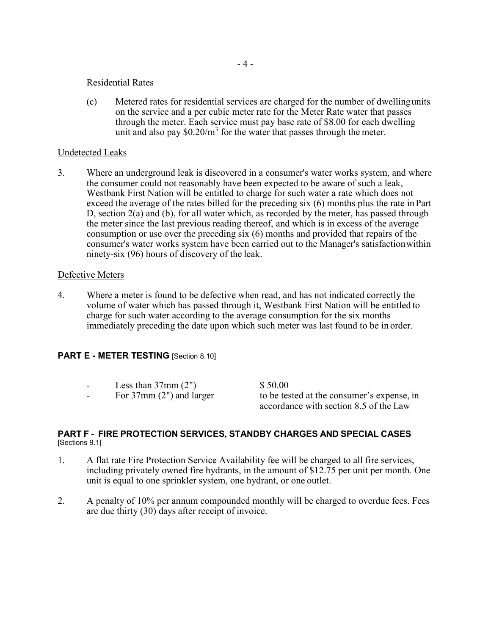#### Residential Rates

(c) Metered rates for residential services are charged for the number of dwellingunits on the service and a per cubic meter rate for the Meter Rate water that passes through the meter. Each service must pay base rate of \$8.00 for each dwelling unit and also pay  $$0.20/m<sup>3</sup>$  for the water that passes through the meter.

#### Undetected Leaks

3. Where an underground leak is discovered in a consumer's water works system, and where the consumer could not reasonably have been expected to be aware of such a leak, Westbank First Nation will be entitled to charge for such water a rate which does not exceed the average of the rates billed for the preceding six (6) months plus the rate inPart D, section 2(a) and (b), for all water which, as recorded by the meter, has passed through the meter since the last previous reading thereof, and which is in excess of the average consumption or use over the preceding six (6) months and provided that repairs of the consumer's water works system have been carried out to the Manager's satisfactionwithin ninety-six (96) hours of discovery of the leak.

#### Defective Meters

4. Where a meter is found to be defective when read, and has not indicated correctly the volume of water which has passed through it, Westbank First Nation will be entitled to charge for such water according to the average consumption for the six months immediately preceding the date upon which such meter was last found to be in order.

#### **PART E - METER TESTING** [Section 8.10]

- 
- Less than  $37 \text{mm}$  (2")  $$ 50.00$ <br>For  $37 \text{mm}$  (2") and larger to be tes

- For 37mm (2") and larger to be tested at the consumer's expense, in accordance with section 8.5 of the Law

#### **PART F - FIRE PROTECTION SERVICES, STANDBY CHARGES AND SPECIAL CASES** [Sections 9.1]

- 1. A flat rate Fire Protection Service Availability fee will be charged to all fire services, including privately owned fire hydrants, in the amount of \$12.75 per unit per month. One unit is equal to one sprinkler system, one hydrant, or one outlet.
- 2. A penalty of 10% per annum compounded monthly will be charged to overdue fees. Fees are due thirty (30) days after receipt of invoice.